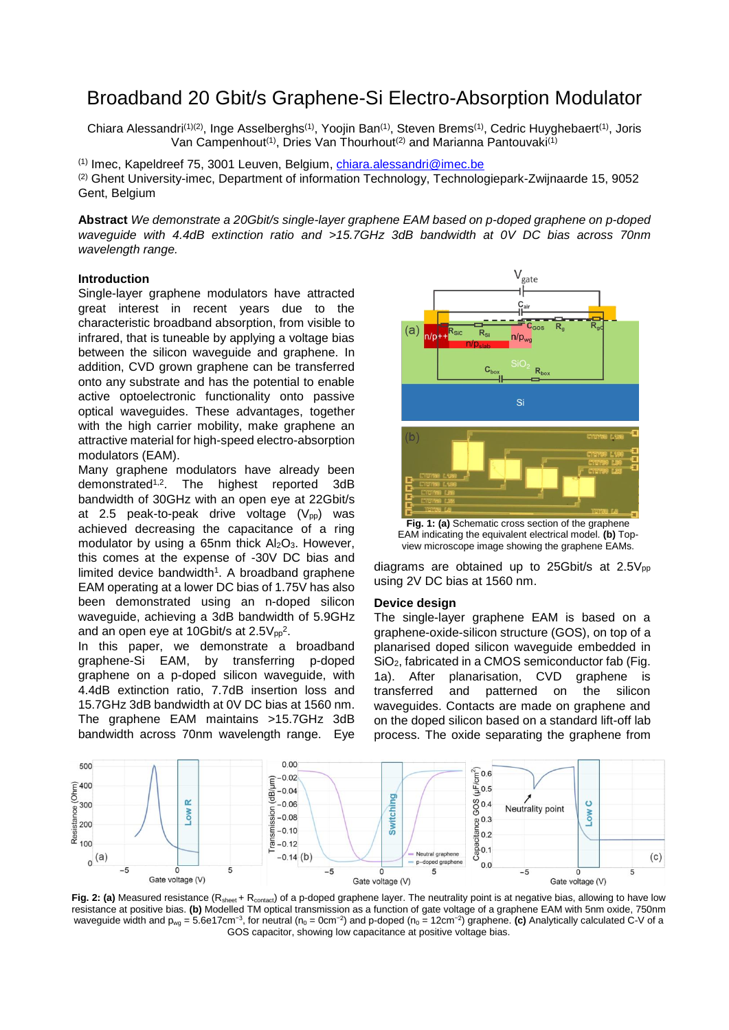# Broadband 20 Gbit/s Graphene-Si Electro-Absorption Modulator

Chiara Alessandri<sup>(1)(2)</sup>, Inge Asselberghs<sup>(1)</sup>, Yoojin Ban<sup>(1)</sup>, Steven Brems<sup>(1)</sup>, Cedric Huyghebaert<sup>(1)</sup>, Joris Van Campenhout<sup>(1)</sup>, Dries Van Thourhout<sup>(2)</sup> and Marianna Pantouvaki<sup>(1)</sup>

(1) Imec, Kapeldreef 75, 3001 Leuven, Belgium, [chiara.alessandri@imec.be](mailto:chiara.alessandri@imec.be) (2) Ghent University-imec, Department of information Technology, Technologiepark-Zwijnaarde 15, 9052 Gent, Belgium

**Abstract** *We demonstrate a 20Gbit/s single-layer graphene EAM based on p-doped graphene on p-doped waveguide with 4.4dB extinction ratio and >15.7GHz 3dB bandwidth at 0V DC bias across 70nm wavelength range.*

## **Introduction**

Single-layer graphene modulators have attracted great interest in recent years due to the characteristic broadband absorption, from visible to infrared, that is tuneable by applying a voltage bias between the silicon waveguide and graphene. In addition, CVD grown graphene can be transferred onto any substrate and has the potential to enable active optoelectronic functionality onto passive optical waveguides. These advantages, together with the high carrier mobility, make graphene an attractive material for high-speed electro-absorption modulators (EAM).

Many graphene modulators have already been demonstrated1,2. The highest reported 3dB bandwidth of 30GHz with an open eye at 22Gbit/s at 2.5 peak-to-peak drive voltage  $(V_{pp})$  was achieved decreasing the capacitance of a ring modulator by using a 65nm thick  $Al_2O_3$ . However, this comes at the expense of -30V DC bias and limited device bandwidth<sup>1</sup>. A broadband graphene EAM operating at a lower DC bias of 1.75V has also been demonstrated using an n-doped silicon waveguide, achieving a 3dB bandwidth of 5.9GHz and an open eye at 10Gbit/s at 2.5 $\mathrm{V_{pp}}^2$ .

In this paper, we demonstrate a broadband graphene-Si EAM, by transferring p-doped graphene on a p-doped silicon waveguide, with 4.4dB extinction ratio, 7.7dB insertion loss and 15.7GHz 3dB bandwidth at 0V DC bias at 1560 nm. The graphene EAM maintains >15.7GHz 3dB bandwidth across 70nm wavelength range. Eye



**Fig. 1: (a)** Schematic cross section of the graphene EAM indicating the equivalent electrical model. **(b)** Topview microscope image showing the graphene EAMs.

diagrams are obtained up to 25Gbit/s at  $2.5V_{\text{pp}}$ using 2V DC bias at 1560 nm.

### **Device design**

The single-layer graphene EAM is based on a graphene-oxide-silicon structure (GOS), on top of a planarised doped silicon waveguide embedded in SiO<sub>2</sub>, fabricated in a CMOS semiconductor fab (Fig. 1a). After planarisation, CVD graphene is transferred and patterned on the silicon waveguides. Contacts are made on graphene and on the doped silicon based on a standard lift-off lab process. The oxide separating the graphene from



Fig. 2: (a) Measured resistance (R<sub>sheet</sub> + R<sub>contact</sub>) of a p-doped graphene layer. The neutrality point is at negative bias, allowing to have low resistance at positive bias. **(b)** Modelled TM optical transmission as a function of gate voltage of a graphene EAM with 5nm oxide, 750nm waveguide width and p<sub>wg</sub> = 5.6e17cm<sup>-3</sup>, for neutral (n<sub>0</sub> = 0cm<sup>-2</sup>) and p-doped (n<sub>0</sub> = 12cm<sup>-2</sup>) graphene. **(c)** Analytically calculated C-V of a GOS capacitor, showing low capacitance at positive voltage bias.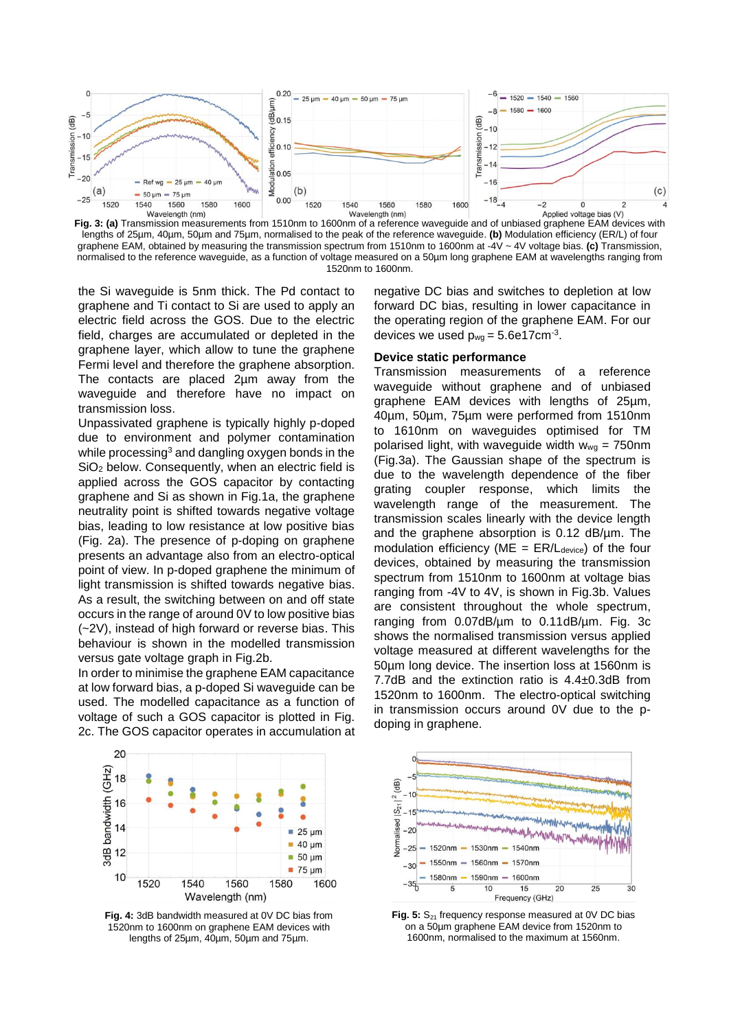

**Fig. 3: (a)** Transmission measurements from 1510nm to 1600nm of a reference waveguide and of unbiased graphene EAM devices with lengths of 25µm, 40µm, 50µm and 75µm, normalised to the peak of the reference waveguide. **(b)** Modulation efficiency (ER/L) of four graphene EAM, obtained by measuring the transmission spectrum from 1510nm to 1600nm at -4V ~ 4V voltage bias. **(c)** Transmission, normalised to the reference waveguide, as a function of voltage measured on a 50µm long graphene EAM at wavelengths ranging from 1520nm to 1600nm.

the Si waveguide is 5nm thick. The Pd contact to graphene and Ti contact to Si are used to apply an electric field across the GOS. Due to the electric field, charges are accumulated or depleted in the graphene layer, which allow to tune the graphene Fermi level and therefore the graphene absorption. The contacts are placed 2µm away from the waveguide and therefore have no impact on transmission loss.

Unpassivated graphene is typically highly p-doped due to environment and polymer contamination while processing<sup>3</sup> and dangling oxygen bonds in the SiO<sub>2</sub> below. Consequently, when an electric field is applied across the GOS capacitor by contacting graphene and Si as shown in Fig.1a, the graphene neutrality point is shifted towards negative voltage bias, leading to low resistance at low positive bias (Fig. 2a). The presence of p-doping on graphene presents an advantage also from an electro-optical point of view. In p-doped graphene the minimum of light transmission is shifted towards negative bias. As a result, the switching between on and off state occurs in the range of around 0V to low positive bias (~2V), instead of high forward or reverse bias. This behaviour is shown in the modelled transmission versus gate voltage graph in Fig.2b.

In order to minimise the graphene EAM capacitance at low forward bias, a p-doped Si waveguide can be used. The modelled capacitance as a function of voltage of such a GOS capacitor is plotted in Fig. 2c. The GOS capacitor operates in accumulation at negative DC bias and switches to depletion at low forward DC bias, resulting in lower capacitance in the operating region of the graphene EAM. For our devices we used  $p_{wg} = 5.6e17cm^{-3}$ .

## **Device static performance**

Transmission measurements of a reference waveguide without graphene and of unbiased graphene EAM devices with lengths of 25µm, 40µm, 50µm, 75µm were performed from 1510nm to 1610nm on waveguides optimised for TM polarised light, with waveguide width  $w_{wg} = 750$ nm (Fig.3a). The Gaussian shape of the spectrum is due to the wavelength dependence of the fiber grating coupler response, which limits the wavelength range of the measurement. The transmission scales linearly with the device length and the graphene absorption is  $0.12$  dB/ $\mu$ m. The modulation efficiency ( $ME = ER/L_{\text{device}}$ ) of the four devices, obtained by measuring the transmission spectrum from 1510nm to 1600nm at voltage bias ranging from -4V to 4V, is shown in Fig.3b. Values are consistent throughout the whole spectrum, ranging from 0.07dB/µm to 0.11dB/µm. Fig. 3c shows the normalised transmission versus applied voltage measured at different wavelengths for the 50µm long device. The insertion loss at 1560nm is 7.7dB and the extinction ratio is 4.4±0.3dB from 1520nm to 1600nm. The electro-optical switching in transmission occurs around 0V due to the pdoping in graphene.



**Fig. 4:** 3dB bandwidth measured at 0V DC bias from 1520nm to 1600nm on graphene EAM devices with lengths of 25µm, 40µm, 50µm and 75µm.



Fig. 5: S<sub>21</sub> frequency response measured at 0V DC bias on a 50µm graphene EAM device from 1520nm to 1600nm, normalised to the maximum at 1560nm.